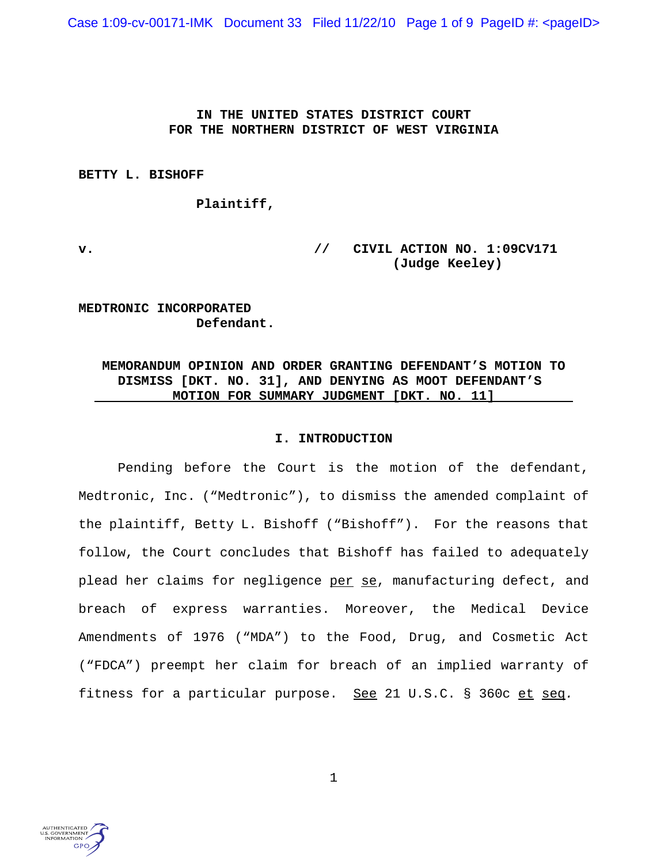Case 1:09-cv-00171-IMK Document 33 Filed 11/22/10 Page 1 of 9 PageID #: <pageID>

## **IN THE UNITED STATES DISTRICT COURT FOR THE NORTHERN DISTRICT OF WEST VIRGINIA**

**BETTY L. BISHOFF** 

**Plaintiff,** 

**v. // CIVIL ACTION NO. 1:09CV171 (Judge Keeley)**

**MEDTRONIC INCORPORATED Defendant.**

# **MEMORANDUM OPINION AND ORDER GRANTING DEFENDANT'S MOTION TO DISMISS [DKT. NO. 31], AND DENYING AS MOOT DEFENDANT'S MOTION FOR SUMMARY JUDGMENT [DKT. NO. 11]**

## **I. INTRODUCTION**

Pending before the Court is the motion of the defendant, Medtronic, Inc. ("Medtronic"), to dismiss the amended complaint of the plaintiff, Betty L. Bishoff ("Bishoff"). For the reasons that follow, the Court concludes that Bishoff has failed to adequately plead her claims for negligence per se, manufacturing defect, and breach of express warranties. Moreover, the Medical Device Amendments of 1976 ("MDA") to the Food, Drug, and Cosmetic Act ("FDCA") preempt her claim for breach of an implied warranty of fitness for a particular purpose. <u>See</u> 21 U.S.C. § 360c et seq.

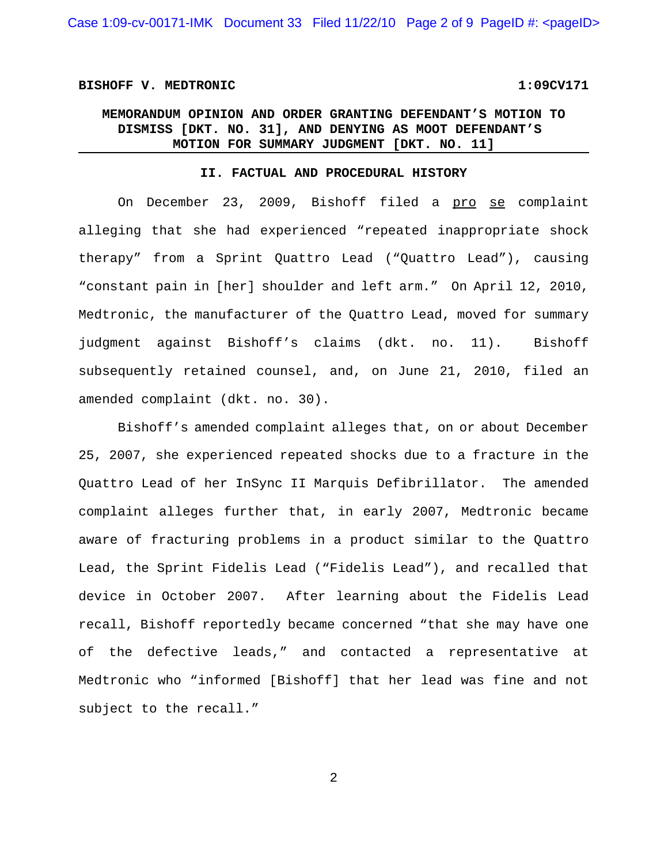### **BISHOFF V. MEDTRONIC 1:09CV171**

# **MEMORANDUM OPINION AND ORDER GRANTING DEFENDANT'S MOTION TO DISMISS [DKT. NO. 31], AND DENYING AS MOOT DEFENDANT'S MOTION FOR SUMMARY JUDGMENT [DKT. NO. 11]**

## **II. FACTUAL AND PROCEDURAL HISTORY**

On December 23, 2009, Bishoff filed a pro se complaint alleging that she had experienced "repeated inappropriate shock therapy" from a Sprint Quattro Lead ("Quattro Lead"), causing "constant pain in [her] shoulder and left arm." On April 12, 2010, Medtronic, the manufacturer of the Quattro Lead, moved for summary judgment against Bishoff's claims (dkt. no. 11). Bishoff subsequently retained counsel, and, on June 21, 2010, filed an amended complaint (dkt. no. 30).

Bishoff's amended complaint alleges that, on or about December 25, 2007, she experienced repeated shocks due to a fracture in the Quattro Lead of her InSync II Marquis Defibrillator. The amended complaint alleges further that, in early 2007, Medtronic became aware of fracturing problems in a product similar to the Quattro Lead, the Sprint Fidelis Lead ("Fidelis Lead"), and recalled that device in October 2007. After learning about the Fidelis Lead recall, Bishoff reportedly became concerned "that she may have one of the defective leads," and contacted a representative at Medtronic who "informed [Bishoff] that her lead was fine and not subject to the recall."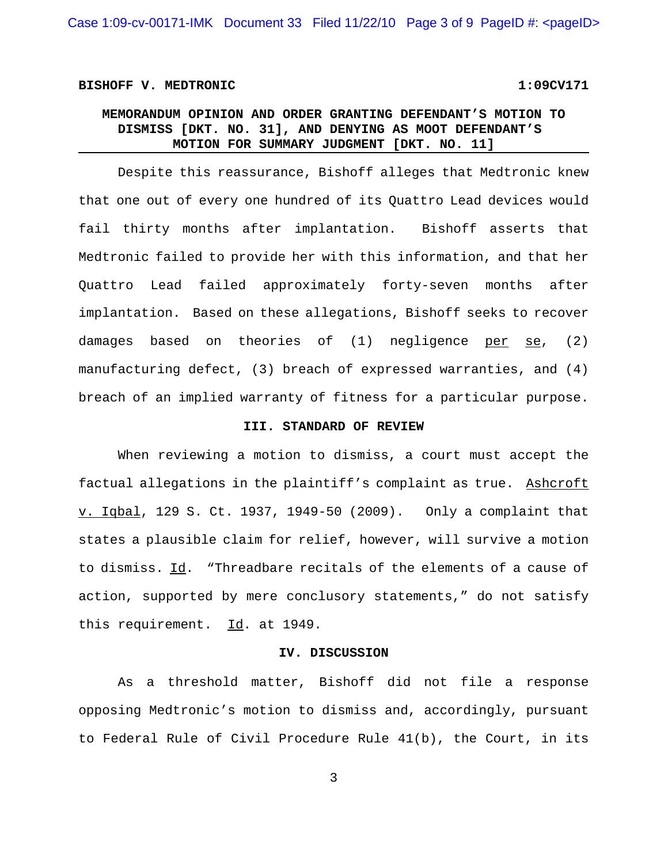### **BISHOFF V. MEDTRONIC 1:09CV171**

# **MEMORANDUM OPINION AND ORDER GRANTING DEFENDANT'S MOTION TO DISMISS [DKT. NO. 31], AND DENYING AS MOOT DEFENDANT'S MOTION FOR SUMMARY JUDGMENT [DKT. NO. 11]**

Despite this reassurance, Bishoff alleges that Medtronic knew that one out of every one hundred of its Quattro Lead devices would fail thirty months after implantation. Bishoff asserts that Medtronic failed to provide her with this information, and that her Quattro Lead failed approximately forty-seven months after implantation. Based on these allegations, Bishoff seeks to recover damages based on theories of  $(1)$  negligence per se,  $(2)$ manufacturing defect, (3) breach of expressed warranties, and (4) breach of an implied warranty of fitness for a particular purpose.

## **III. STANDARD OF REVIEW**

When reviewing a motion to dismiss, a court must accept the factual allegations in the plaintiff's complaint as true. Ashcroft v. Iqbal, 129 S. Ct. 1937, 1949-50 (2009). Only a complaint that states a plausible claim for relief, however, will survive a motion to dismiss. Id. "Threadbare recitals of the elements of a cause of action, supported by mere conclusory statements," do not satisfy this requirement. Id. at 1949.

#### **IV. DISCUSSION**

As a threshold matter, Bishoff did not file a response opposing Medtronic's motion to dismiss and, accordingly, pursuant to Federal Rule of Civil Procedure Rule 41(b), the Court, in its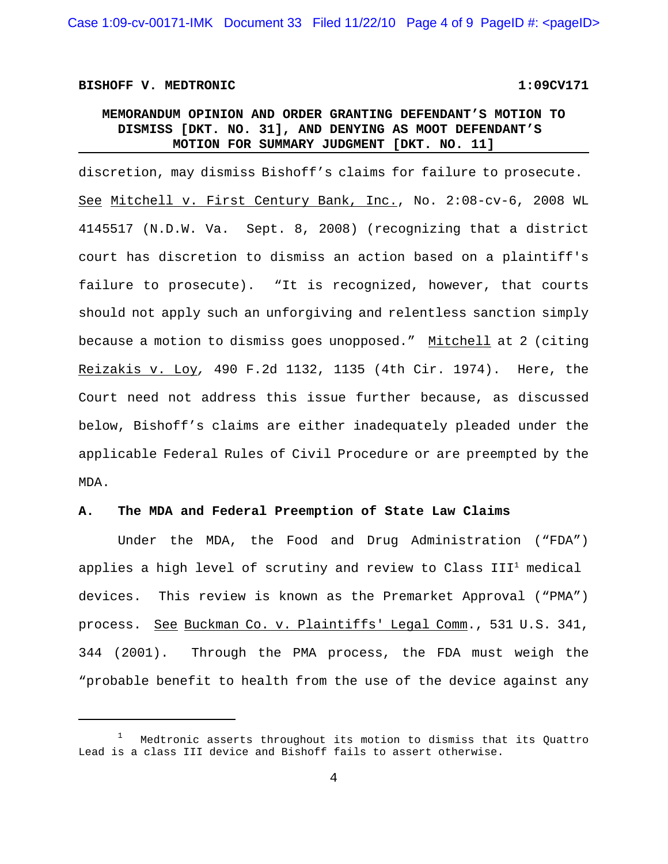### **BISHOFF V. MEDTRONIC 1:09CV171**

# **MEMORANDUM OPINION AND ORDER GRANTING DEFENDANT'S MOTION TO DISMISS [DKT. NO. 31], AND DENYING AS MOOT DEFENDANT'S MOTION FOR SUMMARY JUDGMENT [DKT. NO. 11]**

discretion, may dismiss Bishoff's claims for failure to prosecute. See Mitchell v. First Century Bank, Inc., No. 2:08-cv-6, 2008 WL 4145517 (N.D.W. Va. Sept. 8, 2008) (recognizing that a district court has discretion to dismiss an action based on a plaintiff's failure to prosecute). "It is recognized, however, that courts should not apply such an unforgiving and relentless sanction simply because a motion to dismiss goes unopposed." Mitchell at 2 (citing Reizakis v. Loy*,* 490 F.2d 1132, 1135 (4th Cir. 1974). Here, the Court need not address this issue further because, as discussed below, Bishoff's claims are either inadequately pleaded under the applicable Federal Rules of Civil Procedure or are preempted by the MDA.

## **A. The MDA and Federal Preemption of State Law Claims**

Under the MDA, the Food and Drug Administration ("FDA") applies a high level of scrutiny and review to Class  $III^1$  medical devices. This review is known as the Premarket Approval ("PMA") process. See Buckman Co. v. Plaintiffs' Legal Comm., 531 U.S. 341, 344 (2001). Through the PMA process, the FDA must weigh the "probable benefit to health from the use of the device against any

<sup>1</sup> Medtronic asserts throughout its motion to dismiss that its Quattro Lead is a class III device and Bishoff fails to assert otherwise.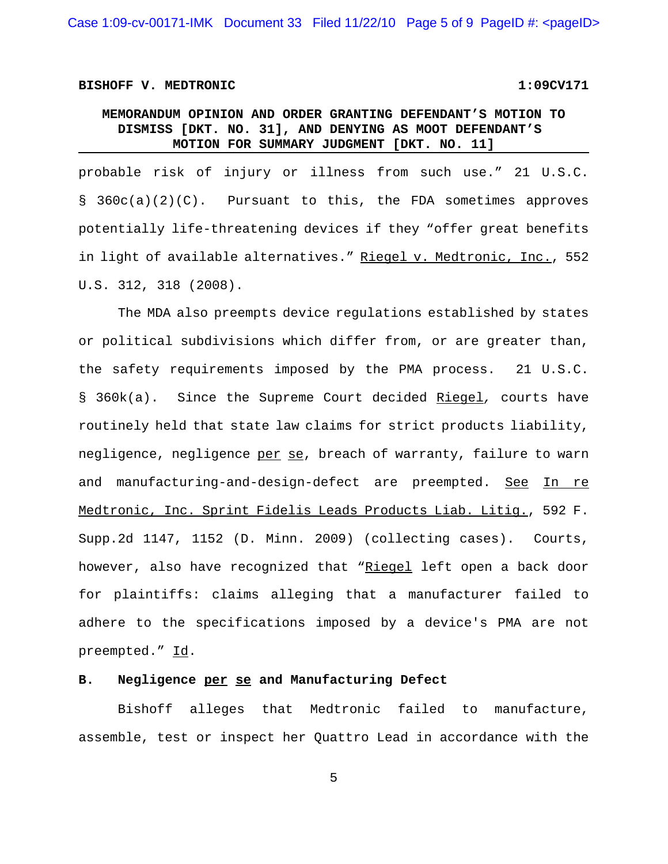Case 1:09-cv-00171-IMK Document 33 Filed 11/22/10 Page 5 of 9 PageID #: <pageID>

#### **BISHOFF V. MEDTRONIC 1:09CV171**

# **MEMORANDUM OPINION AND ORDER GRANTING DEFENDANT'S MOTION TO DISMISS [DKT. NO. 31], AND DENYING AS MOOT DEFENDANT'S MOTION FOR SUMMARY JUDGMENT [DKT. NO. 11]**

probable risk of injury or illness from such use." 21 U.S.C. § 360c(a)(2)(C). Pursuant to this, the FDA sometimes approves potentially life-threatening devices if they "offer great benefits in light of available alternatives." Riegel v. Medtronic, Inc., 552 U.S. 312, 318 (2008).

The MDA also preempts device regulations established by states or political subdivisions which differ from, or are greater than, the safety requirements imposed by the PMA process. 21 U.S.C. § 360k(a). Since the Supreme Court decided Riegel*,* courts have routinely held that state law claims for strict products liability, negligence, negligence per se, breach of warranty, failure to warn and manufacturing-and-design-defect are preempted. See In re Medtronic, Inc. Sprint Fidelis Leads Products Liab. Litig., 592 F. Supp.2d 1147, 1152 (D. Minn. 2009) (collecting cases). Courts, however, also have recognized that "Riegel left open a back door for plaintiffs: claims alleging that a manufacturer failed to adhere to the specifications imposed by a device's PMA are not preempted." Id.

## **B. Negligence per se and Manufacturing Defect**

Bishoff alleges that Medtronic failed to manufacture, assemble, test or inspect her Quattro Lead in accordance with the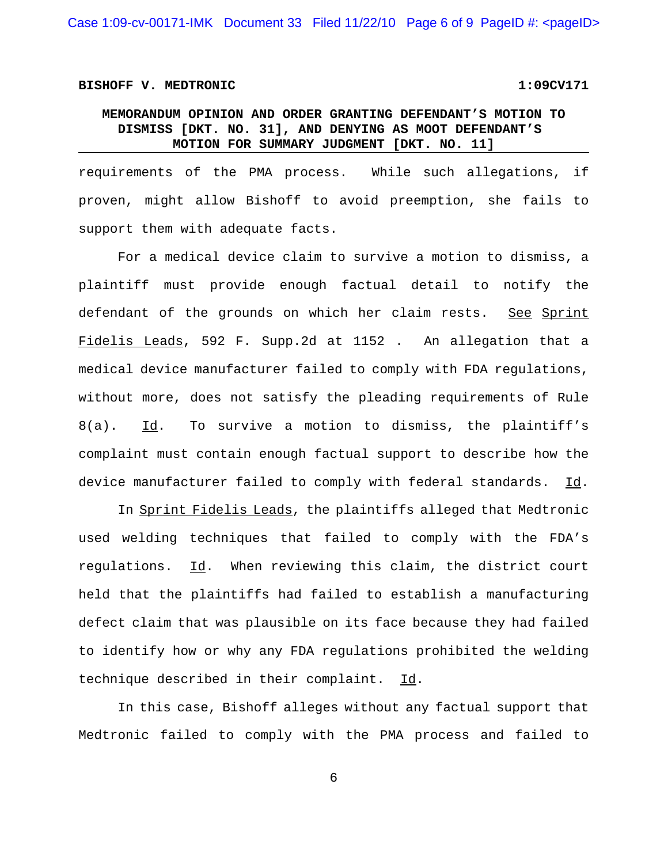Case 1:09-cv-00171-IMK Document 33 Filed 11/22/10 Page 6 of 9 PageID #: <pageID>

## **BISHOFF V. MEDTRONIC 1:09CV171**

# **MEMORANDUM OPINION AND ORDER GRANTING DEFENDANT'S MOTION TO DISMISS [DKT. NO. 31], AND DENYING AS MOOT DEFENDANT'S MOTION FOR SUMMARY JUDGMENT [DKT. NO. 11]**

requirements of the PMA process. While such allegations, if proven, might allow Bishoff to avoid preemption, she fails to support them with adequate facts.

For a medical device claim to survive a motion to dismiss, a plaintiff must provide enough factual detail to notify the defendant of the grounds on which her claim rests. See Sprint Fidelis Leads, 592 F. Supp.2d at 1152 . An allegation that a medical device manufacturer failed to comply with FDA regulations, without more, does not satisfy the pleading requirements of Rule  $8(a)$ . Id. To survive a motion to dismiss, the plaintiff's complaint must contain enough factual support to describe how the device manufacturer failed to comply with federal standards. Id.

In Sprint Fidelis Leads, the plaintiffs alleged that Medtronic used welding techniques that failed to comply with the FDA's regulations. Id. When reviewing this claim, the district court held that the plaintiffs had failed to establish a manufacturing defect claim that was plausible on its face because they had failed to identify how or why any FDA regulations prohibited the welding technique described in their complaint. Id.

In this case, Bishoff alleges without any factual support that Medtronic failed to comply with the PMA process and failed to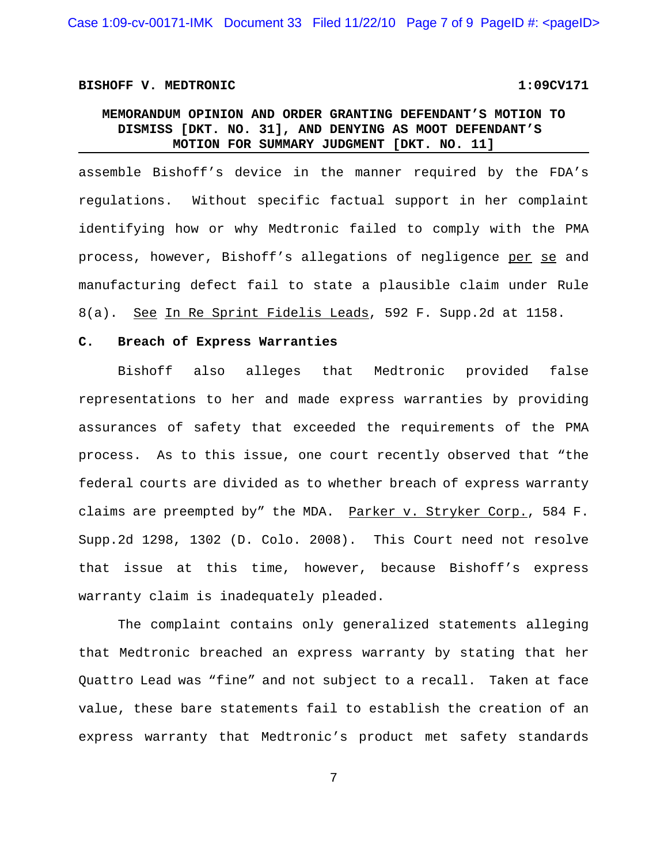Case 1:09-cv-00171-IMK Document 33 Filed 11/22/10 Page 7 of 9 PageID #: <pageID>

## BISHOFF V. MEDTRONIC 1:09CV171

# **MEMORANDUM OPINION AND ORDER GRANTING DEFENDANT'S MOTION TO DISMISS [DKT. NO. 31], AND DENYING AS MOOT DEFENDANT'S MOTION FOR SUMMARY JUDGMENT [DKT. NO. 11]**

assemble Bishoff's device in the manner required by the FDA's regulations. Without specific factual support in her complaint identifying how or why Medtronic failed to comply with the PMA process, however, Bishoff's allegations of negligence per se and manufacturing defect fail to state a plausible claim under Rule 8(a). See In Re Sprint Fidelis Leads, 592 F. Supp.2d at 1158.

## **C. Breach of Express Warranties**

Bishoff also alleges that Medtronic provided false representations to her and made express warranties by providing assurances of safety that exceeded the requirements of the PMA process. As to this issue, one court recently observed that "the federal courts are divided as to whether breach of express warranty claims are preempted by" the MDA. Parker v. Stryker Corp., 584 F. Supp.2d 1298, 1302 (D. Colo. 2008). This Court need not resolve that issue at this time, however, because Bishoff's express warranty claim is inadequately pleaded.

The complaint contains only generalized statements alleging that Medtronic breached an express warranty by stating that her Quattro Lead was "fine" and not subject to a recall. Taken at face value, these bare statements fail to establish the creation of an express warranty that Medtronic's product met safety standards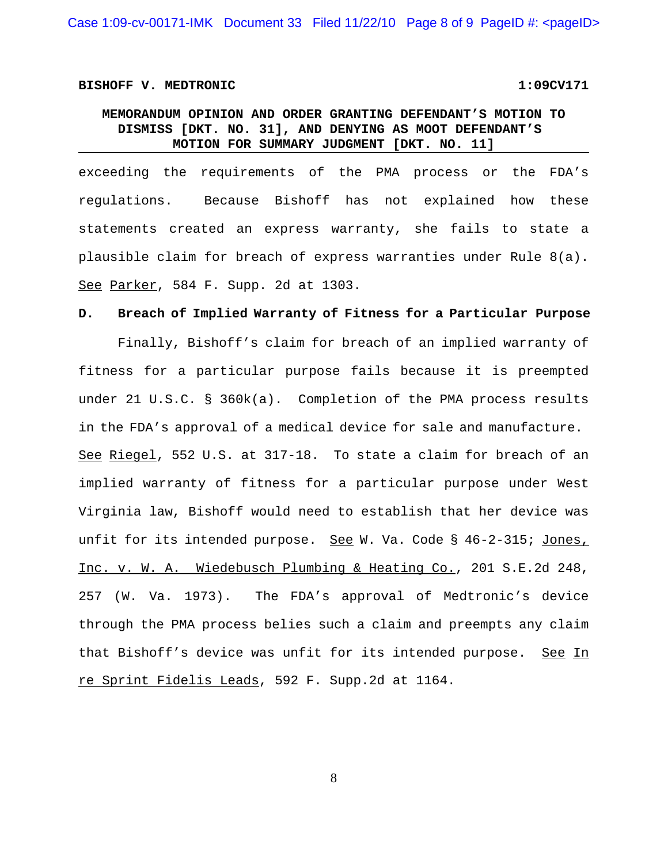Case 1:09-cv-00171-IMK Document 33 Filed 11/22/10 Page 8 of 9 PageID #: <pageID>

## **BISHOFF V. MEDTRONIC 1:09CV171**

# **MEMORANDUM OPINION AND ORDER GRANTING DEFENDANT'S MOTION TO DISMISS [DKT. NO. 31], AND DENYING AS MOOT DEFENDANT'S MOTION FOR SUMMARY JUDGMENT [DKT. NO. 11]**

exceeding the requirements of the PMA process or the FDA's regulations. Because Bishoff has not explained how these statements created an express warranty, she fails to state a plausible claim for breach of express warranties under Rule 8(a). See Parker, 584 F. Supp. 2d at 1303.

### **D. Breach of Implied Warranty of Fitness for a Particular Purpose**

Finally, Bishoff's claim for breach of an implied warranty of fitness for a particular purpose fails because it is preempted under 21 U.S.C. § 360k(a). Completion of the PMA process results in the FDA's approval of a medical device for sale and manufacture. See Riegel, 552 U.S. at 317-18. To state a claim for breach of an implied warranty of fitness for a particular purpose under West Virginia law, Bishoff would need to establish that her device was unfit for its intended purpose. See W. Va. Code § 46-2-315; Jones, Inc. v. W. A. Wiedebusch Plumbing & Heating Co., 201 S.E.2d 248, 257 (W. Va. 1973). The FDA's approval of Medtronic's device through the PMA process belies such a claim and preempts any claim that Bishoff's device was unfit for its intended purpose. See In re Sprint Fidelis Leads, 592 F. Supp.2d at 1164.